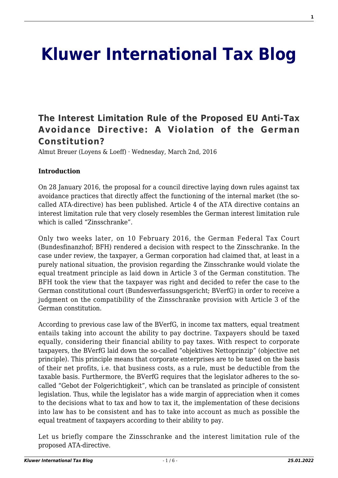# **[Kluwer International Tax Blog](http://kluwertaxblog.com/)**

# **[The Interest Limitation Rule of the Proposed EU Anti-Tax](http://kluwertaxblog.com/2016/03/02/the-interest-limitation-rule-of-the-proposed-eu-anti-tax-avoidance-directive-a-violation-of-the-german-constitution/) [Avoidance Directive: A Violation of the German](http://kluwertaxblog.com/2016/03/02/the-interest-limitation-rule-of-the-proposed-eu-anti-tax-avoidance-directive-a-violation-of-the-german-constitution/) [Constitution?](http://kluwertaxblog.com/2016/03/02/the-interest-limitation-rule-of-the-proposed-eu-anti-tax-avoidance-directive-a-violation-of-the-german-constitution/)**

Almut Breuer (Loyens & Loeff) · Wednesday, March 2nd, 2016

#### **Introduction**

On 28 January 2016, the proposal for a council directive laying down rules against tax avoidance practices that directly affect the functioning of the internal market (the socalled ATA-directive) has been published. Article 4 of the ATA directive contains an interest limitation rule that very closely resembles the German interest limitation rule which is called "Zinsschranke".

Only two weeks later, on 10 February 2016, the German Federal Tax Court (Bundesfinanzhof; BFH) rendered a decision with respect to the Zinsschranke. In the case under review, the taxpayer, a German corporation had claimed that, at least in a purely national situation, the provision regarding the Zinsschranke would violate the equal treatment principle as laid down in Article 3 of the German constitution. The BFH took the view that the taxpayer was right and decided to refer the case to the German constitutional court (Bundesverfassungsgericht; BVerfG) in order to receive a judgment on the compatibility of the Zinsschranke provision with Article 3 of the German constitution.

According to previous case law of the BVerfG, in income tax matters, equal treatment entails taking into account the ability to pay doctrine. Taxpayers should be taxed equally, considering their financial ability to pay taxes. With respect to corporate taxpayers, the BVerfG laid down the so-called "objektives Nettoprinzip" (objective net principle). This principle means that corporate enterprises are to be taxed on the basis of their net profits, i.e. that business costs, as a rule, must be deductible from the taxable basis. Furthermore, the BVerfG requires that the legislator adheres to the socalled "Gebot der Folgerichtigkeit", which can be translated as principle of consistent legislation. Thus, while the legislator has a wide margin of appreciation when it comes to the decisions what to tax and how to tax it, the implementation of these decisions into law has to be consistent and has to take into account as much as possible the equal treatment of taxpayers according to their ability to pay.

Let us briefly compare the Zinsschranke and the interest limitation rule of the proposed ATA-directive.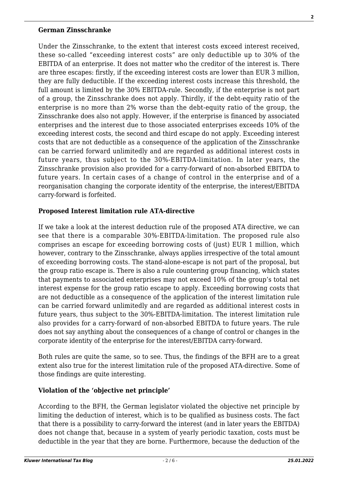#### **German Zinsschranke**

Under the Zinsschranke, to the extent that interest costs exceed interest received, these so-called "exceeding interest costs" are only deductible up to 30% of the EBITDA of an enterprise. It does not matter who the creditor of the interest is. There are three escapes: firstly, if the exceeding interest costs are lower than EUR 3 million, they are fully deductible. If the exceeding interest costs increase this threshold, the full amount is limited by the 30% EBITDA-rule. Secondly, if the enterprise is not part of a group, the Zinsschranke does not apply. Thirdly, if the debt-equity ratio of the enterprise is no more than 2% worse than the debt-equity ratio of the group, the Zinsschranke does also not apply. However, if the enterprise is financed by associated enterprises and the interest due to those associated enterprises exceeds 10% of the exceeding interest costs, the second and third escape do not apply. Exceeding interest costs that are not deductible as a consequence of the application of the Zinsschranke can be carried forward unlimitedly and are regarded as additional interest costs in future years, thus subject to the 30%-EBITDA-limitation. In later years, the Zinsschranke provision also provided for a carry-forward of non-absorbed EBITDA to future years. In certain cases of a change of control in the enterprise and of a reorganisation changing the corporate identity of the enterprise, the interest/EBITDA carry-forward is forfeited.

#### **Proposed Interest limitation rule ATA-directive**

If we take a look at the interest deduction rule of the proposed ATA directive, we can see that there is a comparable 30%-EBITDA-limitation. The proposed rule also comprises an escape for exceeding borrowing costs of (just) EUR 1 million, which however, contrary to the Zinsschranke, always applies irrespective of the total amount of exceeding borrowing costs. The stand-alone-escape is not part of the proposal, but the group ratio escape is. There is also a rule countering group financing, which states that payments to associated enterprises may not exceed 10% of the group's total net interest expense for the group ratio escape to apply. Exceeding borrowing costs that are not deductible as a consequence of the application of the interest limitation rule can be carried forward unlimitedly and are regarded as additional interest costs in future years, thus subject to the 30%-EBITDA-limitation. The interest limitation rule also provides for a carry-forward of non-absorbed EBITDA to future years. The rule does not say anything about the consequences of a change of control or changes in the corporate identity of the enterprise for the interest/EBITDA carry-forward.

Both rules are quite the same, so to see. Thus, the findings of the BFH are to a great extent also true for the interest limitation rule of the proposed ATA-directive. Some of those findings are quite interesting.

#### **Violation of the 'objective net principle'**

According to the BFH, the German legislator violated the objective net principle by limiting the deduction of interest, which is to be qualified as business costs. The fact that there is a possibility to carry-forward the interest (and in later years the EBITDA) does not change that, because in a system of yearly periodic taxation, costs must be deductible in the year that they are borne. Furthermore, because the deduction of the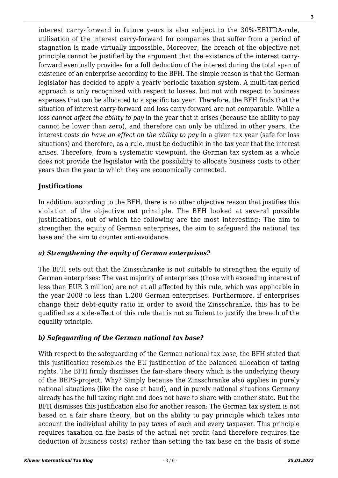**3**

interest carry-forward in future years is also subject to the 30%-EBITDA-rule, utilisation of the interest carry-forward for companies that suffer from a period of stagnation is made virtually impossible. Moreover, the breach of the objective net principle cannot be justified by the argument that the existence of the interest carryforward eventually provides for a full deduction of the interest during the total span of existence of an enterprise according to the BFH. The simple reason is that the German legislator has decided to apply a yearly periodic taxation system. A multi-tax-period approach is only recognized with respect to losses, but not with respect to business expenses that can be allocated to a specific tax year. Therefore, the BFH finds that the situation of interest carry-forward and loss carry-forward are not comparable. While a loss *cannot affect the ability to pay* in the year that it arises (because the ability to pay cannot be lower than zero), and therefore can only be utilized in other years, the interest costs *do have an effect on the ability to pay* in a given tax year (safe for loss situations) and therefore, as a rule, must be deductible in the tax year that the interest arises. Therefore, from a systematic viewpoint, the German tax system as a whole does not provide the legislator with the possibility to allocate business costs to other years than the year to which they are economically connected.

### **Justifications**

In addition, according to the BFH, there is no other objective reason that justifies this violation of the objective net principle. The BFH looked at several possible justifications, out of which the following are the most interesting: The aim to strengthen the equity of German enterprises, the aim to safeguard the national tax base and the aim to counter anti-avoidance.

# *a) Strengthening the equity of German enterprises?*

The BFH sets out that the Zinsschranke is not suitable to strengthen the equity of German enterprises: The vast majority of enterprises (those with exceeding interest of less than EUR 3 million) are not at all affected by this rule, which was applicable in the year 2008 to less than 1.200 German enterprises. Furthermore, if enterprises change their debt-equity ratio in order to avoid the Zinsschranke, this has to be qualified as a side-effect of this rule that is not sufficient to justify the breach of the equality principle.

# *b) Safeguarding of the German national tax base?*

With respect to the safeguarding of the German national tax base, the BFH stated that this justification resembles the EU justification of the balanced allocation of taxing rights. The BFH firmly dismisses the fair-share theory which is the underlying theory of the BEPS-project. Why? Simply because the Zinsschranke also applies in purely national situations (like the case at hand), and in purely national situations Germany already has the full taxing right and does not have to share with another state. But the BFH dismisses this justification also for another reason: The German tax system is not based on a fair share theory, but on the ability to pay principle which takes into account the individual ability to pay taxes of each and every taxpayer. This principle requires taxation on the basis of the actual net profit (and therefore requires the deduction of business costs) rather than setting the tax base on the basis of some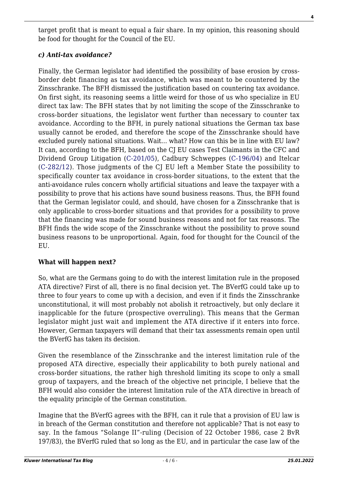target profit that is meant to equal a fair share. In my opinion, this reasoning should be food for thought for the Council of the EU.

#### *c) Anti-tax avoidance?*

Finally, the German legislator had identified the possibility of base erosion by crossborder debt financing as tax avoidance, which was meant to be countered by the Zinsschranke. The BFH dismissed the justification based on countering tax avoidance. On first sight, its reasoning seems a little weird for those of us who specialize in EU direct tax law: The BFH states that by not limiting the scope of the Zinsschranke to cross-border situations, the legislator went further than necessary to counter tax avoidance. According to the BFH, in purely national situations the German tax base usually cannot be eroded, and therefore the scope of the Zinsschranke should have excluded purely national situations. Wait… what? How can this be in line with EU law? It can, according to the BFH, based on the CJ EU cases Test Claimants in the CFC and Dividend Group Litigation ([C-201/05\)](http://curia.europa.eu/juris/liste.jsf?language=en&num=C-201/05), Cadbury Schweppes [\(C-196/04](http://curia.europa.eu/juris/liste.jsf?language=en&num=C-196/04)) and Itelcar ([C-282/12\)](http://curia.europa.eu/juris/liste.jsf?language=en&num=C-282/12). Those judgments of the CJ EU left a Member State the possibility to specifically counter tax avoidance in cross-border situations, to the extent that the anti-avoidance rules concern wholly artificial situations and leave the taxpayer with a possibility to prove that his actions have sound business reasons. Thus, the BFH found that the German legislator could, and should, have chosen for a Zinsschranke that is only applicable to cross-border situations and that provides for a possibility to prove that the financing was made for sound business reasons and not for tax reasons. The BFH finds the wide scope of the Zinsschranke without the possibility to prove sound business reasons to be unproportional. Again, food for thought for the Council of the EU.

#### **What will happen next?**

So, what are the Germans going to do with the interest limitation rule in the proposed ATA directive? First of all, there is no final decision yet. The BVerfG could take up to three to four years to come up with a decision, and even if it finds the Zinsschranke unconstitutional, it will most probably not abolish it retroactively, but only declare it inapplicable for the future (prospective overruling). This means that the German legislator might just wait and implement the ATA directive if it enters into force. However, German taxpayers will demand that their tax assessments remain open until the BVerfG has taken its decision.

Given the resemblance of the Zinsschranke and the interest limitation rule of the proposed ATA directive, especially their applicability to both purely national and cross-border situations, the rather high threshold limiting its scope to only a small group of taxpayers, and the breach of the objective net principle, I believe that the BFH would also consider the interest limitation rule of the ATA directive in breach of the equality principle of the German constitution.

Imagine that the BVerfG agrees with the BFH, can it rule that a provision of EU law is in breach of the German constitution and therefore not applicable? That is not easy to say. In the famous "Solange II"-ruling (Decision of 22 October 1986, case 2 BvR 197/83), the BVerfG ruled that so long as the EU, and in particular the case law of the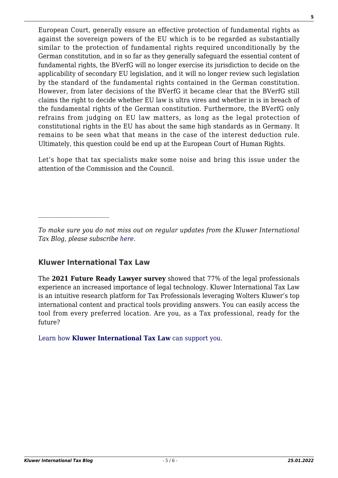European Court, generally ensure an effective protection of fundamental rights as against the sovereign powers of the EU which is to be regarded as substantially similar to the protection of fundamental rights required unconditionally by the German constitution, and in so far as they generally safeguard the essential content of fundamental rights, the BVerfG will no longer exercise its jurisdiction to decide on the applicability of secondary EU legislation, and it will no longer review such legislation by the standard of the fundamental rights contained in the German constitution. However, from later decisions of the BVerfG it became clear that the BVerfG still claims the right to decide whether EU law is ultra vires and whether in is in breach of the fundamental rights of the German constitution. Furthermore, the BVerfG only refrains from judging on EU law matters, as long as the legal protection of constitutional rights in the EU has about the same high standards as in Germany. It remains to be seen what that means in the case of the interest deduction rule. Ultimately, this question could be end up at the European Court of Human Rights.

Let's hope that tax specialists make some noise and bring this issue under the attention of the Commission and the Council.

# **Kluwer International Tax Law**

 $\mathcal{L}_\text{max}$ 

The **2021 Future Ready Lawyer survey** showed that 77% of the legal professionals experience an increased importance of legal technology. Kluwer International Tax Law is an intuitive research platform for Tax Professionals leveraging Wolters Kluwer's top international content and practical tools providing answers. You can easily access the tool from every preferred location. Are you, as a Tax professional, ready for the future?

[Learn how](https://www.wolterskluwer.com/en/solutions/kluwertaxlaw?utm_source=kluwertaxblog&utm_medium=articleCTA&utm_campaign=article-banner) **[Kluwer International Tax Law](https://www.wolterskluwer.com/en/solutions/kluwertaxlaw?utm_source=kluwertaxblog&utm_medium=articleCTA&utm_campaign=article-banner)** [can support you.](https://www.wolterskluwer.com/en/solutions/kluwertaxlaw?utm_source=kluwertaxblog&utm_medium=articleCTA&utm_campaign=article-banner)

*To make sure you do not miss out on regular updates from the Kluwer International Tax Blog, please subscribe [here.](http://kluwertaxblog.com/newsletter/)*